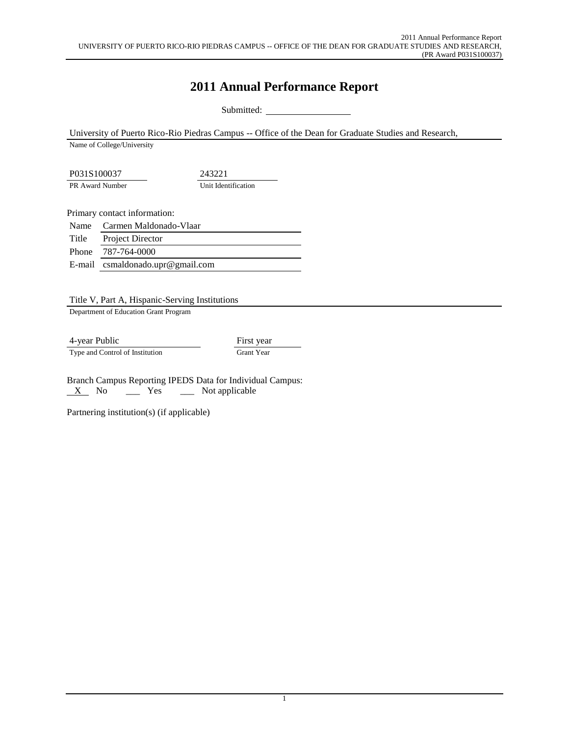# **2011 Annual Performance Report**

Submitted: \_

University of Puerto Rico-Rio Piedras Campus -- Office of the Dean for Graduate Studies and Research,

Name of College/University

P031S100037 243221 PR Award Number Unit Identification

Primary contact information:

Name Carmen Maldonado-Vlaar

Title Project Director

Phone 787-764-0000

E-mail csmaldonado.upr@gmail.com

Title V, Part A, Hispanic-Serving Institutions

Department of Education Grant Program

4-year Public First year Type and Control of Institution Grant Year

Branch Campus Reporting IPEDS Data for Individual Campus:  $X$  No  $X$  Yes  $X$  Not applicable

Partnering institution(s) (if applicable)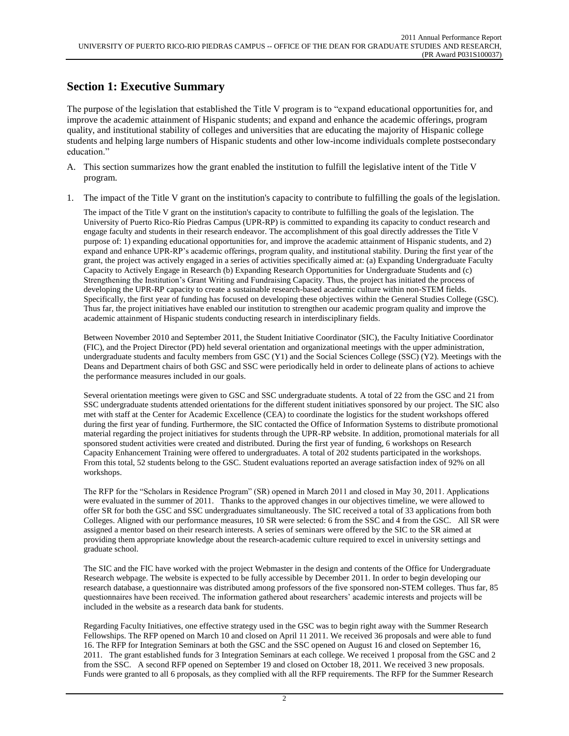### **Section 1: Executive Summary**

The purpose of the legislation that established the Title V program is to "expand educational opportunities for, and improve the academic attainment of Hispanic students; and expand and enhance the academic offerings, program quality, and institutional stability of colleges and universities that are educating the majority of Hispanic college students and helping large numbers of Hispanic students and other low-income individuals complete postsecondary education."

- A. This section summarizes how the grant enabled the institution to fulfill the legislative intent of the Title V program.
- 1. The impact of the Title V grant on the institution's capacity to contribute to fulfilling the goals of the legislation.

The impact of the Title V grant on the institution's capacity to contribute to fulfilling the goals of the legislation. The University of Puerto Rico-Río Piedras Campus (UPR-RP) is committed to expanding its capacity to conduct research and engage faculty and students in their research endeavor. The accomplishment of this goal directly addresses the Title V purpose of: 1) expanding educational opportunities for, and improve the academic attainment of Hispanic students, and 2) expand and enhance UPR-RP's academic offerings, program quality, and institutional stability. During the first year of the grant, the project was actively engaged in a series of activities specifically aimed at: (a) Expanding Undergraduate Faculty Capacity to Actively Engage in Research (b) Expanding Research Opportunities for Undergraduate Students and (c) Strengthening the Institution's Grant Writing and Fundraising Capacity. Thus, the project has initiated the process of developing the UPR-RP capacity to create a sustainable research-based academic culture within non-STEM fields. Specifically, the first year of funding has focused on developing these objectives within the General Studies College (GSC). Thus far, the project initiatives have enabled our institution to strengthen our academic program quality and improve the academic attainment of Hispanic students conducting research in interdisciplinary fields.

Between November 2010 and September 2011, the Student Initiative Coordinator (SIC), the Faculty Initiative Coordinator (FIC), and the Project Director (PD) held several orientation and organizational meetings with the upper administration, undergraduate students and faculty members from GSC (Y1) and the Social Sciences College (SSC) (Y2). Meetings with the Deans and Department chairs of both GSC and SSC were periodically held in order to delineate plans of actions to achieve the performance measures included in our goals.

Several orientation meetings were given to GSC and SSC undergraduate students. A total of 22 from the GSC and 21 from SSC undergraduate students attended orientations for the different student initiatives sponsored by our project. The SIC also met with staff at the Center for Academic Excellence (CEA) to coordinate the logistics for the student workshops offered during the first year of funding. Furthermore, the SIC contacted the Office of Information Systems to distribute promotional material regarding the project initiatives for students through the UPR-RP website. In addition, promotional materials for all sponsored student activities were created and distributed. During the first year of funding, 6 workshops on Research Capacity Enhancement Training were offered to undergraduates. A total of 202 students participated in the workshops. From this total, 52 students belong to the GSC. Student evaluations reported an average satisfaction index of 92% on all workshops.

The RFP for the "Scholars in Residence Program" (SR) opened in March 2011 and closed in May 30, 2011. Applications were evaluated in the summer of 2011. Thanks to the approved changes in our objectives timeline, we were allowed to offer SR for both the GSC and SSC undergraduates simultaneously. The SIC received a total of 33 applications from both Colleges. Aligned with our performance measures, 10 SR were selected: 6 from the SSC and 4 from the GSC. All SR were assigned a mentor based on their research interests. A series of seminars were offered by the SIC to the SR aimed at providing them appropriate knowledge about the research-academic culture required to excel in university settings and graduate school.

The SIC and the FIC have worked with the project Webmaster in the design and contents of the Office for Undergraduate Research webpage. The website is expected to be fully accessible by December 2011. In order to begin developing our research database, a questionnaire was distributed among professors of the five sponsored non-STEM colleges. Thus far, 85 questionnaires have been received. The information gathered about researchers' academic interests and projects will be included in the website as a research data bank for students.

Regarding Faculty Initiatives, one effective strategy used in the GSC was to begin right away with the Summer Research Fellowships. The RFP opened on March 10 and closed on April 11 2011. We received 36 proposals and were able to fund 16. The RFP for Integration Seminars at both the GSC and the SSC opened on August 16 and closed on September 16, 2011. The grant established funds for 3 Integration Seminars at each college. We received 1 proposal from the GSC and 2 from the SSC. A second RFP opened on September 19 and closed on October 18, 2011. We received 3 new proposals. Funds were granted to all 6 proposals, as they complied with all the RFP requirements. The RFP for the Summer Research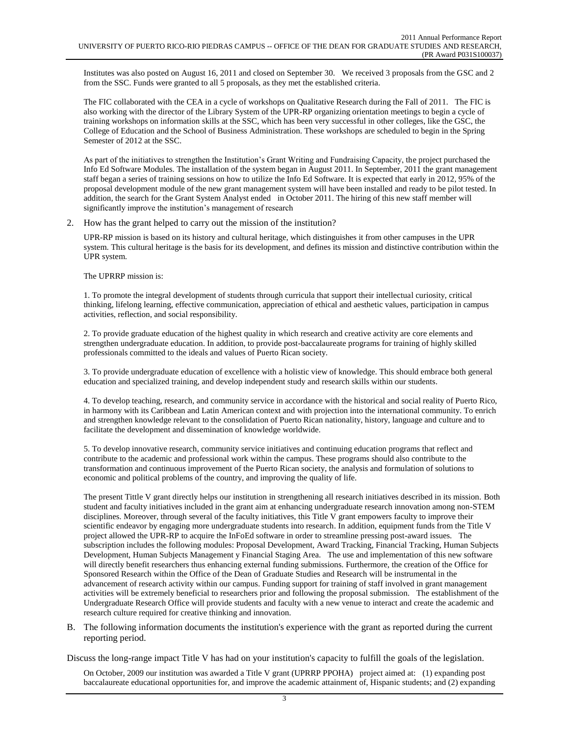Institutes was also posted on August 16, 2011 and closed on September 30. We received 3 proposals from the GSC and 2 from the SSC. Funds were granted to all 5 proposals, as they met the established criteria.

The FIC collaborated with the CEA in a cycle of workshops on Qualitative Research during the Fall of 2011. The FIC is also working with the director of the Library System of the UPR-RP organizing orientation meetings to begin a cycle of training workshops on information skills at the SSC, which has been very successful in other colleges, like the GSC, the College of Education and the School of Business Administration. These workshops are scheduled to begin in the Spring Semester of 2012 at the SSC.

As part of the initiatives to strengthen the Institution's Grant Writing and Fundraising Capacity, the project purchased the Info Ed Software Modules. The installation of the system began in August 2011. In September, 2011 the grant management staff began a series of training sessions on how to utilize the Info Ed Software. It is expected that early in 2012, 95% of the proposal development module of the new grant management system will have been installed and ready to be pilot tested. In addition, the search for the Grant System Analyst ended in October 2011. The hiring of this new staff member will significantly improve the institution's management of research

2. How has the grant helped to carry out the mission of the institution?

UPR-RP mission is based on its history and cultural heritage, which distinguishes it from other campuses in the UPR system. This cultural heritage is the basis for its development, and defines its mission and distinctive contribution within the UPR system.

#### The UPRRP mission is:

1. To promote the integral development of students through curricula that support their intellectual curiosity, critical thinking, lifelong learning, effective communication, appreciation of ethical and aesthetic values, participation in campus activities, reflection, and social responsibility.

2. To provide graduate education of the highest quality in which research and creative activity are core elements and strengthen undergraduate education. In addition, to provide post-baccalaureate programs for training of highly skilled professionals committed to the ideals and values of Puerto Rican society.

3. To provide undergraduate education of excellence with a holistic view of knowledge. This should embrace both general education and specialized training, and develop independent study and research skills within our students.

4. To develop teaching, research, and community service in accordance with the historical and social reality of Puerto Rico, in harmony with its Caribbean and Latin American context and with projection into the international community. To enrich and strengthen knowledge relevant to the consolidation of Puerto Rican nationality, history, language and culture and to facilitate the development and dissemination of knowledge worldwide.

5. To develop innovative research, community service initiatives and continuing education programs that reflect and contribute to the academic and professional work within the campus. These programs should also contribute to the transformation and continuous improvement of the Puerto Rican society, the analysis and formulation of solutions to economic and political problems of the country, and improving the quality of life.

The present Tittle V grant directly helps our institution in strengthening all research initiatives described in its mission. Both student and faculty initiatives included in the grant aim at enhancing undergraduate research innovation among non-STEM disciplines. Moreover, through several of the faculty initiatives, this Title V grant empowers faculty to improve their scientific endeavor by engaging more undergraduate students into research. In addition, equipment funds from the Title V project allowed the UPR-RP to acquire the InFoEd software in order to streamline pressing post-award issues. The subscription includes the following modules: Proposal Development, Award Tracking, Financial Tracking, Human Subjects Development, Human Subjects Management y Financial Staging Area. The use and implementation of this new software will directly benefit researchers thus enhancing external funding submissions. Furthermore, the creation of the Office for Sponsored Research within the Office of the Dean of Graduate Studies and Research will be instrumental in the advancement of research activity within our campus. Funding support for training of staff involved in grant management activities will be extremely beneficial to researchers prior and following the proposal submission. The establishment of the Undergraduate Research Office will provide students and faculty with a new venue to interact and create the academic and research culture required for creative thinking and innovation.

B. The following information documents the institution's experience with the grant as reported during the current reporting period.

Discuss the long-range impact Title V has had on your institution's capacity to fulfill the goals of the legislation.

On October, 2009 our institution was awarded a Title V grant (UPRRP PPOHA) project aimed at: (1) expanding post baccalaureate educational opportunities for, and improve the academic attainment of, Hispanic students; and (2) expanding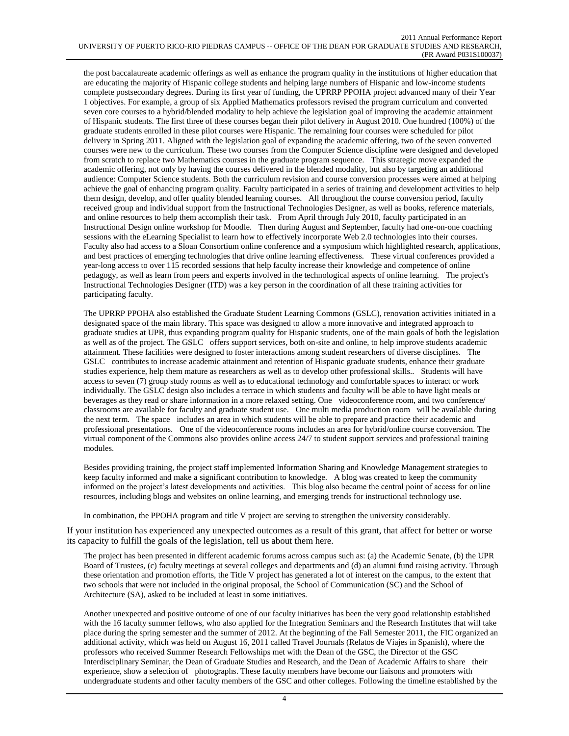the post baccalaureate academic offerings as well as enhance the program quality in the institutions of higher education that are educating the majority of Hispanic college students and helping large numbers of Hispanic and low-income students complete postsecondary degrees. During its first year of funding, the UPRRP PPOHA project advanced many of their Year 1 objectives. For example, a group of six Applied Mathematics professors revised the program curriculum and converted seven core courses to a hybrid/blended modality to help achieve the legislation goal of improving the academic attainment of Hispanic students. The first three of these courses began their pilot delivery in August 2010. One hundred (100%) of the graduate students enrolled in these pilot courses were Hispanic. The remaining four courses were scheduled for pilot delivery in Spring 2011. Aligned with the legislation goal of expanding the academic offering, two of the seven converted courses were new to the curriculum. These two courses from the Computer Science discipline were designed and developed from scratch to replace two Mathematics courses in the graduate program sequence. This strategic move expanded the academic offering, not only by having the courses delivered in the blended modality, but also by targeting an additional audience: Computer Science students. Both the curriculum revision and course conversion processes were aimed at helping achieve the goal of enhancing program quality. Faculty participated in a series of training and development activities to help them design, develop, and offer quality blended learning courses. All throughout the course conversion period, faculty received group and individual support from the Instructional Technologies Designer, as well as books, reference materials, and online resources to help them accomplish their task. From April through July 2010, faculty participated in an Instructional Design online workshop for Moodle. Then during August and September, faculty had one-on-one coaching sessions with the eLearning Specialist to learn how to effectively incorporate Web 2.0 technologies into their courses. Faculty also had access to a Sloan Consortium online conference and a symposium which highlighted research, applications, and best practices of emerging technologies that drive online learning effectiveness. These virtual conferences provided a year-long access to over 115 recorded sessions that help faculty increase their knowledge and competence of online pedagogy, as well as learn from peers and experts involved in the technological aspects of online learning. The project's Instructional Technologies Designer (ITD) was a key person in the coordination of all these training activities for participating faculty.

The UPRRP PPOHA also established the Graduate Student Learning Commons (GSLC), renovation activities initiated in a designated space of the main library. This space was designed to allow a more innovative and integrated approach to graduate studies at UPR, thus expanding program quality for Hispanic students, one of the main goals of both the legislation as well as of the project. The GSLC offers support services, both on-site and online, to help improve students academic attainment. These facilities were designed to foster interactions among student researchers of diverse disciplines. The GSLC contributes to increase academic attainment and retention of Hispanic graduate students, enhance their graduate studies experience, help them mature as researchers as well as to develop other professional skills.. Students will have access to seven (7) group study rooms as well as to educational technology and comfortable spaces to interact or work individually. The GSLC design also includes a terrace in which students and faculty will be able to have light meals or beverages as they read or share information in a more relaxed setting. One videoconference room, and two conference/ classrooms are available for faculty and graduate student use. One multi media production room will be available during the next term. The space includes an area in which students will be able to prepare and practice their academic and professional presentations. One of the videoconference rooms includes an area for hybrid/online course conversion. The virtual component of the Commons also provides online access 24/7 to student support services and professional training modules.

Besides providing training, the project staff implemented Information Sharing and Knowledge Management strategies to keep faculty informed and make a significant contribution to knowledge. A blog was created to keep the community informed on the project's latest developments and activities. This blog also became the central point of access for online resources, including blogs and websites on online learning, and emerging trends for instructional technology use.

In combination, the PPOHA program and title V project are serving to strengthen the university considerably.

If your institution has experienced any unexpected outcomes as a result of this grant, that affect for better or worse its capacity to fulfill the goals of the legislation, tell us about them here.

The project has been presented in different academic forums across campus such as: (a) the Academic Senate, (b) the UPR Board of Trustees, (c) faculty meetings at several colleges and departments and (d) an alumni fund raising activity. Through these orientation and promotion efforts, the Title V project has generated a lot of interest on the campus, to the extent that two schools that were not included in the original proposal, the School of Communication (SC) and the School of Architecture (SA), asked to be included at least in some initiatives.

Another unexpected and positive outcome of one of our faculty initiatives has been the very good relationship established with the 16 faculty summer fellows, who also applied for the Integration Seminars and the Research Institutes that will take place during the spring semester and the summer of 2012. At the beginning of the Fall Semester 2011, the FIC organized an additional activity, which was held on August 16, 2011 called Travel Journals (Relatos de Viajes in Spanish), where the professors who received Summer Research Fellowships met with the Dean of the GSC, the Director of the GSC Interdisciplinary Seminar, the Dean of Graduate Studies and Research, and the Dean of Academic Affairs to share their experience, show a selection of photographs. These faculty members have become our liaisons and promoters with undergraduate students and other faculty members of the GSC and other colleges. Following the timeline established by the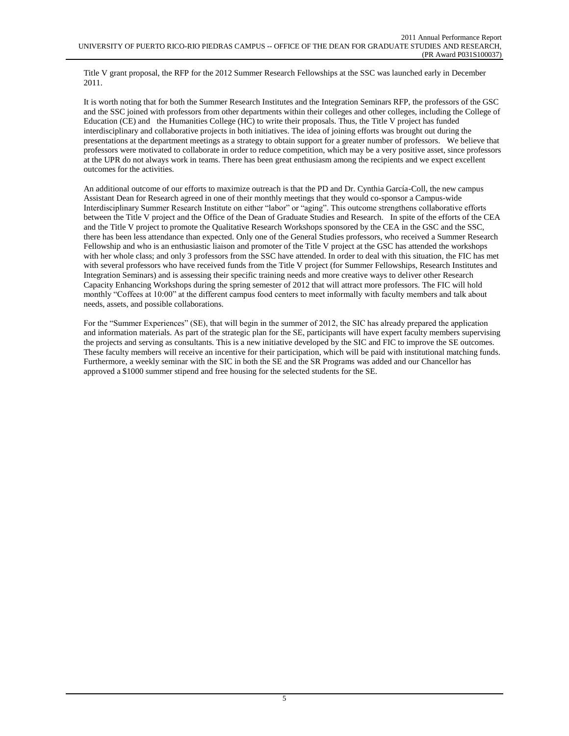Title V grant proposal, the RFP for the 2012 Summer Research Fellowships at the SSC was launched early in December 2011.

It is worth noting that for both the Summer Research Institutes and the Integration Seminars RFP, the professors of the GSC and the SSC joined with professors from other departments within their colleges and other colleges, including the College of Education (CE) and the Humanities College (HC) to write their proposals. Thus, the Title V project has funded interdisciplinary and collaborative projects in both initiatives. The idea of joining efforts was brought out during the presentations at the department meetings as a strategy to obtain support for a greater number of professors. We believe that professors were motivated to collaborate in order to reduce competition, which may be a very positive asset, since professors at the UPR do not always work in teams. There has been great enthusiasm among the recipients and we expect excellent outcomes for the activities.

An additional outcome of our efforts to maximize outreach is that the PD and Dr. Cynthia García-Coll, the new campus Assistant Dean for Research agreed in one of their monthly meetings that they would co-sponsor a Campus-wide Interdisciplinary Summer Research Institute on either "labor" or "aging". This outcome strengthens collaborative efforts between the Title V project and the Office of the Dean of Graduate Studies and Research. In spite of the efforts of the CEA and the Title V project to promote the Qualitative Research Workshops sponsored by the CEA in the GSC and the SSC, there has been less attendance than expected. Only one of the General Studies professors, who received a Summer Research Fellowship and who is an enthusiastic liaison and promoter of the Title V project at the GSC has attended the workshops with her whole class; and only 3 professors from the SSC have attended. In order to deal with this situation, the FIC has met with several professors who have received funds from the Title V project (for Summer Fellowships, Research Institutes and Integration Seminars) and is assessing their specific training needs and more creative ways to deliver other Research Capacity Enhancing Workshops during the spring semester of 2012 that will attract more professors. The FIC will hold monthly "Coffees at 10:00" at the different campus food centers to meet informally with faculty members and talk about needs, assets, and possible collaborations.

For the "Summer Experiences" (SE), that will begin in the summer of 2012, the SIC has already prepared the application and information materials. As part of the strategic plan for the SE, participants will have expert faculty members supervising the projects and serving as consultants. This is a new initiative developed by the SIC and FIC to improve the SE outcomes. These faculty members will receive an incentive for their participation, which will be paid with institutional matching funds. Furthermore, a weekly seminar with the SIC in both the SE and the SR Programs was added and our Chancellor has approved a \$1000 summer stipend and free housing for the selected students for the SE.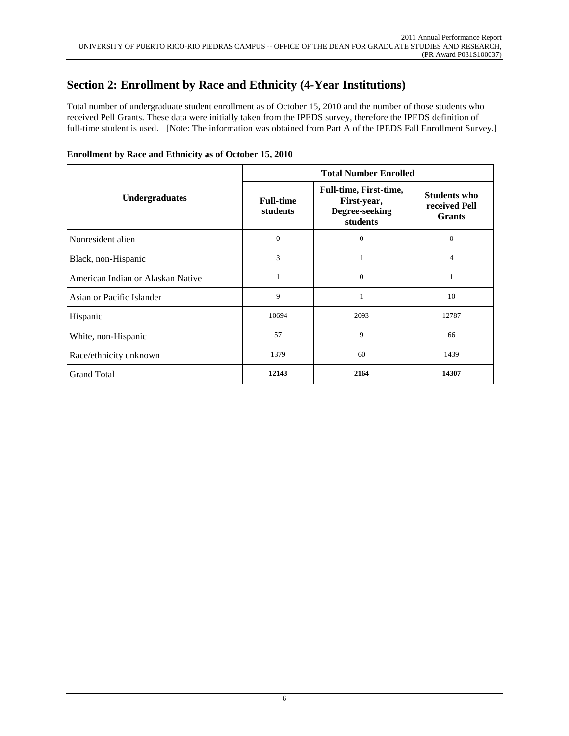## **Section 2: Enrollment by Race and Ethnicity (4-Year Institutions)**

Total number of undergraduate student enrollment as of October 15, 2010 and the number of those students who received Pell Grants. These data were initially taken from the IPEDS survey, therefore the IPEDS definition of full-time student is used. [Note: The information was obtained from Part A of the IPEDS Fall Enrollment Survey.]

|                                   | <b>Total Number Enrolled</b> |                                                                            |                                                       |  |  |  |
|-----------------------------------|------------------------------|----------------------------------------------------------------------------|-------------------------------------------------------|--|--|--|
| <b>Undergraduates</b>             | <b>Full-time</b><br>students | <b>Full-time, First-time,</b><br>First-year,<br>Degree-seeking<br>students | <b>Students who</b><br>received Pell<br><b>Grants</b> |  |  |  |
| Nonresident alien                 | $\mathbf{0}$                 | $\overline{0}$                                                             | $\mathbf{0}$                                          |  |  |  |
| Black, non-Hispanic               | 3                            |                                                                            | 4                                                     |  |  |  |
| American Indian or Alaskan Native |                              | $\theta$                                                                   | 1                                                     |  |  |  |
| Asian or Pacific Islander         | 9                            |                                                                            | 10                                                    |  |  |  |
| Hispanic                          | 10694                        | 2093                                                                       | 12787                                                 |  |  |  |
| White, non-Hispanic               | 57                           | 9                                                                          | 66                                                    |  |  |  |
| Race/ethnicity unknown            | 1379                         | 60                                                                         | 1439                                                  |  |  |  |
| <b>Grand Total</b>                | 12143                        | 2164                                                                       | 14307                                                 |  |  |  |

### **Enrollment by Race and Ethnicity as of October 15, 2010**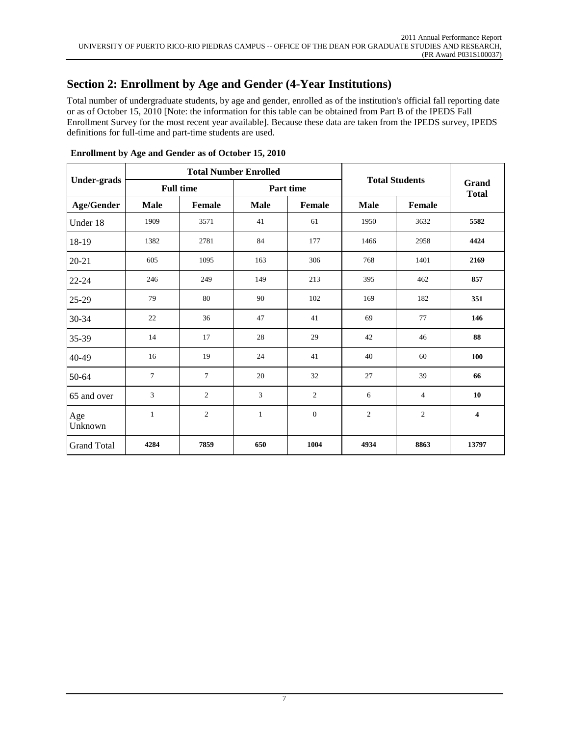## **Section 2: Enrollment by Age and Gender (4-Year Institutions)**

Total number of undergraduate students, by age and gender, enrolled as of the institution's official fall reporting date or as of October 15, 2010 [Note: the information for this table can be obtained from Part B of the IPEDS Fall Enrollment Survey for the most recent year available]. Because these data are taken from the IPEDS survey, IPEDS definitions for full-time and part-time students are used.

|                    |                |                  | <b>Total Number Enrolled</b> | <b>Total Students</b> |                       | Grand<br><b>Total</b> |                         |  |
|--------------------|----------------|------------------|------------------------------|-----------------------|-----------------------|-----------------------|-------------------------|--|
| <b>Under-grads</b> |                | <b>Full time</b> | Part time                    |                       |                       |                       |                         |  |
| <b>Age/Gender</b>  | <b>Male</b>    | Female           | <b>Male</b>                  | Female                | <b>Male</b><br>Female |                       |                         |  |
| Under 18           | 1909           | 3571             | 41                           | 61                    | 1950                  | 3632                  | 5582                    |  |
| 18-19              | 1382           | 2781             | 84                           | 177                   | 1466                  | 2958                  | 4424                    |  |
| $20 - 21$          | 605            | 1095             | 163                          | 306                   | 768                   | 1401                  | 2169                    |  |
| $22 - 24$          | 246            | 249              | 149                          | 213                   | 395                   | 462                   | 857                     |  |
| 25-29              | 79             | 80               | 90                           | 102                   | 169                   | 182                   | 351                     |  |
| 30-34              | 22             | 36               | 47                           | 41                    | 69                    | 77                    | 146                     |  |
| 35-39              | 14             | 17               | 28                           | 29                    | 42                    | 46                    | 88                      |  |
| 40-49              | 16             | 19               | 24                           | 41                    | 40                    | 60                    | 100                     |  |
| 50-64              | $\overline{7}$ | $\overline{7}$   | 20                           | 32                    | 27                    | 39                    | 66                      |  |
| 65 and over        | 3              | $\overline{c}$   | 3                            | $\mathfrak{2}$        | 6                     | $\overline{4}$        | 10                      |  |
| Age<br>Unknown     | $\mathbf{1}$   | $\mathbf{2}$     | $\mathbf{1}$                 | $\mathbf{0}$          | $\overline{c}$        | $\mathfrak{2}$        | $\overline{\mathbf{4}}$ |  |
| <b>Grand Total</b> | 4284           | 7859             | 650                          | 1004                  | 4934                  | 8863                  | 13797                   |  |

**Enrollment by Age and Gender as of October 15, 2010**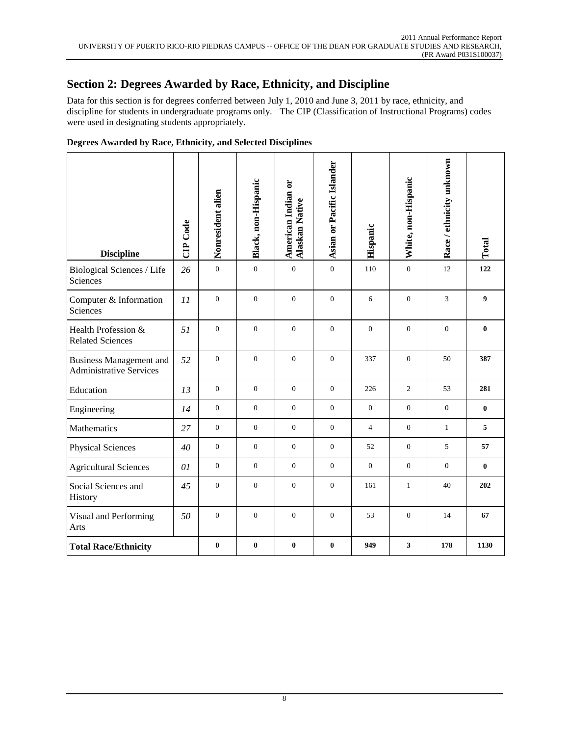## **Section 2: Degrees Awarded by Race, Ethnicity, and Discipline**

Data for this section is for degrees conferred between July 1, 2010 and June 3, 2011 by race, ethnicity, and discipline for students in undergraduate programs only. The CIP (Classification of Instructional Programs) codes were used in designating students appropriately.

| <b>Discipline</b>                                                | CIP Code | Nonresident alien | Black, non-Hispanic | American Indian or<br><b>Alaskan Native</b> | Asian or Pacific Islander | Hispanic       | White, non-Hispanic     | Race / ethnicity unknown | Total    |
|------------------------------------------------------------------|----------|-------------------|---------------------|---------------------------------------------|---------------------------|----------------|-------------------------|--------------------------|----------|
| <b>Biological Sciences / Life</b><br>Sciences                    | 26       | $\boldsymbol{0}$  | $\boldsymbol{0}$    | $\boldsymbol{0}$                            | $\boldsymbol{0}$          | 110            | $\mathbf{0}$            | 12                       | 122      |
| Computer & Information<br>Sciences                               | 11       | $\boldsymbol{0}$  | $\boldsymbol{0}$    | $\mathbf{0}$                                | $\boldsymbol{0}$          | 6              | $\boldsymbol{0}$        | 3                        | 9        |
| Health Profession &<br><b>Related Sciences</b>                   | 51       | $\overline{0}$    | $\overline{0}$      | $\Omega$                                    | $\boldsymbol{0}$          | $\Omega$       | $\overline{0}$          | $\overline{0}$           | $\bf{0}$ |
| <b>Business Management and</b><br><b>Administrative Services</b> | 52       | $\overline{0}$    | $\boldsymbol{0}$    | $\overline{0}$                              | $\boldsymbol{0}$          | 337            | $\boldsymbol{0}$        | 50                       | 387      |
| Education                                                        | 13       | $\mathbf{0}$      | $\overline{0}$      | $\mathbf{0}$                                | $\mathbf{0}$              | 226            | 2                       | 53                       | 281      |
| Engineering                                                      | 14       | $\mathbf{0}$      | $\mathbf{0}$        | $\mathbf{0}$                                | $\mathbf{0}$              | $\mathbf{0}$   | $\mathbf{0}$            | $\overline{0}$           | $\bf{0}$ |
| Mathematics                                                      | 27       | $\mathbf{0}$      | $\overline{0}$      | $\mathbf{0}$                                | $\overline{0}$            | $\overline{4}$ | $\mathbf{0}$            | $\mathbf{1}$             | 5        |
| <b>Physical Sciences</b>                                         | 40       | $\boldsymbol{0}$  | $\mathbf{0}$        | $\mathbf{0}$                                | $\boldsymbol{0}$          | 52             | $\mathbf{0}$            | 5                        | 57       |
| <b>Agricultural Sciences</b>                                     | 01       | $\mathbf{0}$      | $\overline{0}$      | $\mathbf{0}$                                | $\mathbf{0}$              | $\mathbf{0}$   | $\mathbf{0}$            | $\overline{0}$           | $\bf{0}$ |
| Social Sciences and<br>History                                   | 45       | $\boldsymbol{0}$  | $\boldsymbol{0}$    | $\boldsymbol{0}$                            | $\boldsymbol{0}$          | 161            | $\mathbf{1}$            | 40                       | 202      |
| Visual and Performing<br>Arts                                    | 50       | $\boldsymbol{0}$  | $\boldsymbol{0}$    | $\boldsymbol{0}$                            | $\boldsymbol{0}$          | 53             | $\boldsymbol{0}$        | 14                       | 67       |
| <b>Total Race/Ethnicity</b>                                      |          | $\bf{0}$          | $\bf{0}$            | $\bf{0}$                                    | $\pmb{0}$                 | 949            | $\overline{\mathbf{3}}$ | 178                      | 1130     |

### **Degrees Awarded by Race, Ethnicity, and Selected Disciplines**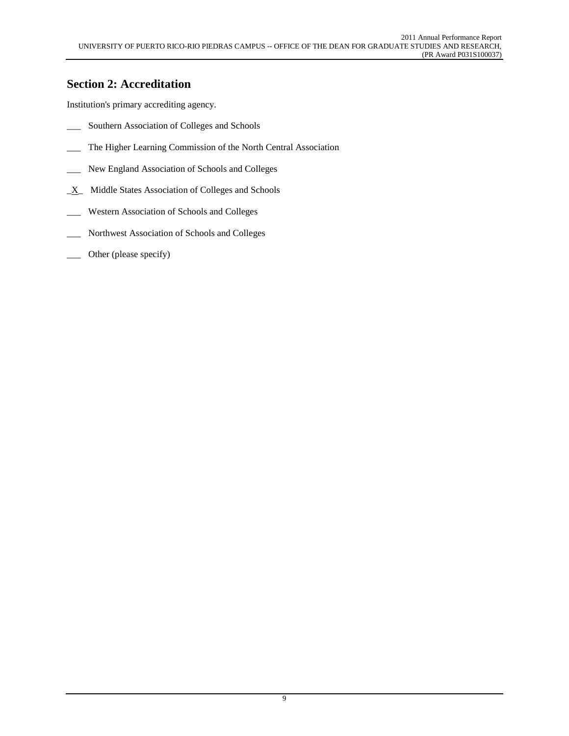## **Section 2: Accreditation**

Institution's primary accrediting agency.

- \_\_\_ Southern Association of Colleges and Schools
- \_\_\_ The Higher Learning Commission of the North Central Association
- \_\_\_ New England Association of Schools and Colleges
- $X$  Middle States Association of Colleges and Schools
- \_\_\_ Western Association of Schools and Colleges
- \_\_\_ Northwest Association of Schools and Colleges
- \_\_\_ Other (please specify)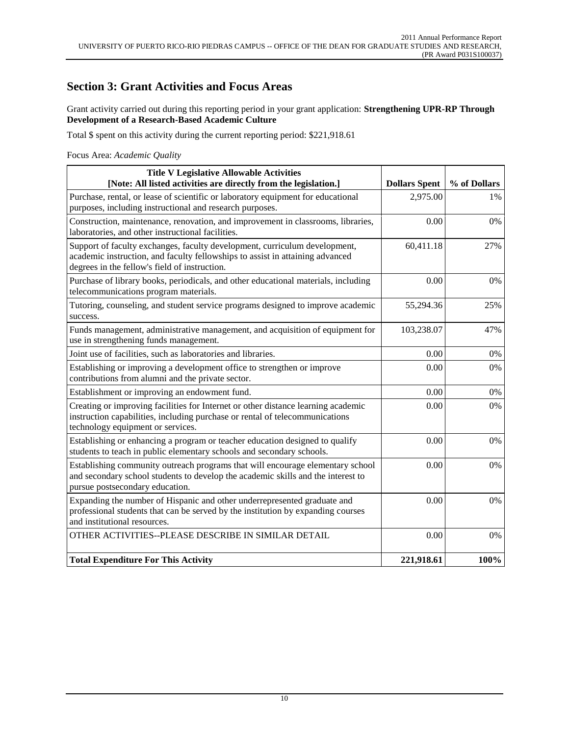### **Section 3: Grant Activities and Focus Areas**

Grant activity carried out during this reporting period in your grant application: **Strengthening UPR-RP Through Development of a Research-Based Academic Culture**

Total \$ spent on this activity during the current reporting period: \$221,918.61

Focus Area: *Academic Quality*

| <b>Title V Legislative Allowable Activities</b><br>[Note: All listed activities are directly from the legislation.]                                                                                          | <b>Dollars Spent</b> | % of Dollars |
|--------------------------------------------------------------------------------------------------------------------------------------------------------------------------------------------------------------|----------------------|--------------|
| Purchase, rental, or lease of scientific or laboratory equipment for educational<br>purposes, including instructional and research purposes.                                                                 | 2,975.00             | 1%           |
| Construction, maintenance, renovation, and improvement in classrooms, libraries,<br>laboratories, and other instructional facilities.                                                                        | 0.00                 | 0%           |
| Support of faculty exchanges, faculty development, curriculum development,<br>academic instruction, and faculty fellowships to assist in attaining advanced<br>degrees in the fellow's field of instruction. | 60,411.18            | 27%          |
| Purchase of library books, periodicals, and other educational materials, including<br>telecommunications program materials.                                                                                  | 0.00                 | 0%           |
| Tutoring, counseling, and student service programs designed to improve academic<br>success.                                                                                                                  | 55,294.36            | 25%          |
| Funds management, administrative management, and acquisition of equipment for<br>use in strengthening funds management.                                                                                      | 103,238.07           | 47%          |
| Joint use of facilities, such as laboratories and libraries.                                                                                                                                                 | 0.00                 | 0%           |
| Establishing or improving a development office to strengthen or improve<br>contributions from alumni and the private sector.                                                                                 | 0.00                 | 0%           |
| Establishment or improving an endowment fund.                                                                                                                                                                | 0.00                 | 0%           |
| Creating or improving facilities for Internet or other distance learning academic<br>instruction capabilities, including purchase or rental of telecommunications<br>technology equipment or services.       | 0.00                 | 0%           |
| Establishing or enhancing a program or teacher education designed to qualify<br>students to teach in public elementary schools and secondary schools.                                                        | 0.00                 | 0%           |
| Establishing community outreach programs that will encourage elementary school<br>and secondary school students to develop the academic skills and the interest to<br>pursue postsecondary education.        | 0.00                 | 0%           |
| Expanding the number of Hispanic and other underrepresented graduate and<br>professional students that can be served by the institution by expanding courses<br>and institutional resources.                 | 0.00                 | 0%           |
| OTHER ACTIVITIES--PLEASE DESCRIBE IN SIMILAR DETAIL                                                                                                                                                          | 0.00                 | 0%           |
| <b>Total Expenditure For This Activity</b>                                                                                                                                                                   | 221,918.61           | 100%         |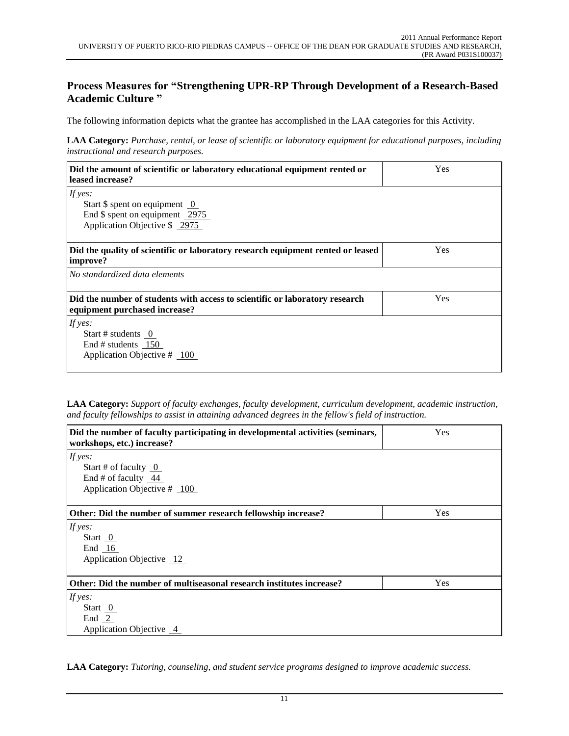### **Process Measures for "Strengthening UPR-RP Through Development of a Research-Based Academic Culture "**

The following information depicts what the grantee has accomplished in the LAA categories for this Activity.

**LAA Category:** *Purchase, rental, or lease of scientific or laboratory equipment for educational purposes, including instructional and research purposes.*

| Did the amount of scientific or laboratory educational equipment rented or<br>leased increase?               | Yes |
|--------------------------------------------------------------------------------------------------------------|-----|
| If yes:                                                                                                      |     |
| Start $\$ spent on equipment 0                                                                               |     |
| End $\$$ spent on equipment 2975                                                                             |     |
| Application Objective \$ 2975                                                                                |     |
|                                                                                                              |     |
| Did the quality of scientific or laboratory research equipment rented or leased<br>improve?                  | Yes |
| No standardized data elements                                                                                |     |
| Did the number of students with access to scientific or laboratory research<br>equipment purchased increase? | Yes |
| If yes:                                                                                                      |     |
| Start # students $0$                                                                                         |     |
| End # students $150$                                                                                         |     |
| Application Objective $#$ 100                                                                                |     |
|                                                                                                              |     |

**LAA Category:** *Support of faculty exchanges, faculty development, curriculum development, academic instruction, and faculty fellowships to assist in attaining advanced degrees in the fellow's field of instruction.*

| Did the number of faculty participating in developmental activities (seminars,<br>workshops, etc.) increase? | Yes |
|--------------------------------------------------------------------------------------------------------------|-----|
| If yes:<br>Start # of faculty $\overline{0}$<br>End # of faculty $44$                                        |     |
| Application Objective # 100                                                                                  |     |
| Other: Did the number of summer research fellowship increase?                                                | Yes |
| If yes:<br>Start 0<br>End $16$<br>Application Objective 12                                                   |     |
| Other: Did the number of multiseasonal research institutes increase?                                         | Yes |
| If yes:<br>Start $\overline{0}$<br>End $2$<br>Application Objective 4                                        |     |

**LAA Category:** *Tutoring, counseling, and student service programs designed to improve academic success.*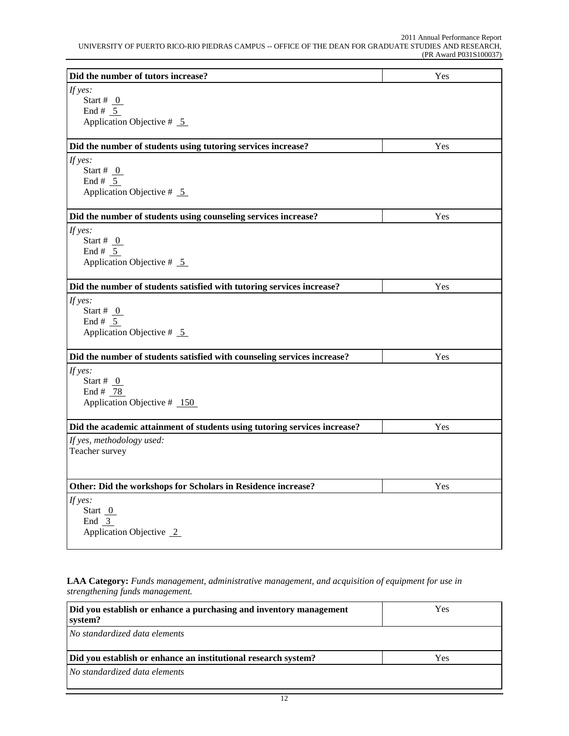| Did the number of tutors increase?                                        | Yes |
|---------------------------------------------------------------------------|-----|
| If yes:                                                                   |     |
| Start # $_0$                                                              |     |
| End # $5$                                                                 |     |
| Application Objective $# 5$                                               |     |
| Did the number of students using tutoring services increase?              | Yes |
| If yes:                                                                   |     |
| Start # $_0$                                                              |     |
| End # $5$                                                                 |     |
| Application Objective $# 5$                                               |     |
| Did the number of students using counseling services increase?            | Yes |
| If yes:                                                                   |     |
| Start # $_0$                                                              |     |
| End # $5$                                                                 |     |
| Application Objective $# 5$                                               |     |
| Did the number of students satisfied with tutoring services increase?     | Yes |
| If yes:                                                                   |     |
| Start # $_0$                                                              |     |
| End # $5$                                                                 |     |
| Application Objective $# 5$                                               |     |
| Did the number of students satisfied with counseling services increase?   | Yes |
| If yes:                                                                   |     |
| Start # $_0$                                                              |     |
| End # $78$                                                                |     |
| Application Objective $#$ 150                                             |     |
| Did the academic attainment of students using tutoring services increase? | Yes |
| If yes, methodology used:                                                 |     |
| Teacher survey                                                            |     |
|                                                                           |     |
| Other: Did the workshops for Scholars in Residence increase?              | Yes |
| If yes:                                                                   |     |
| Start $0$                                                                 |     |
| End 3                                                                     |     |
| Application Objective 2                                                   |     |

**LAA Category:** *Funds management, administrative management, and acquisition of equipment for use in strengthening funds management.*

| Did you establish or enhance a purchasing and inventory management<br>system? | <b>Yes</b> |  |
|-------------------------------------------------------------------------------|------------|--|
| No standardized data elements                                                 |            |  |
| Yes.<br>Did you establish or enhance an institutional research system?        |            |  |
| No standardized data elements                                                 |            |  |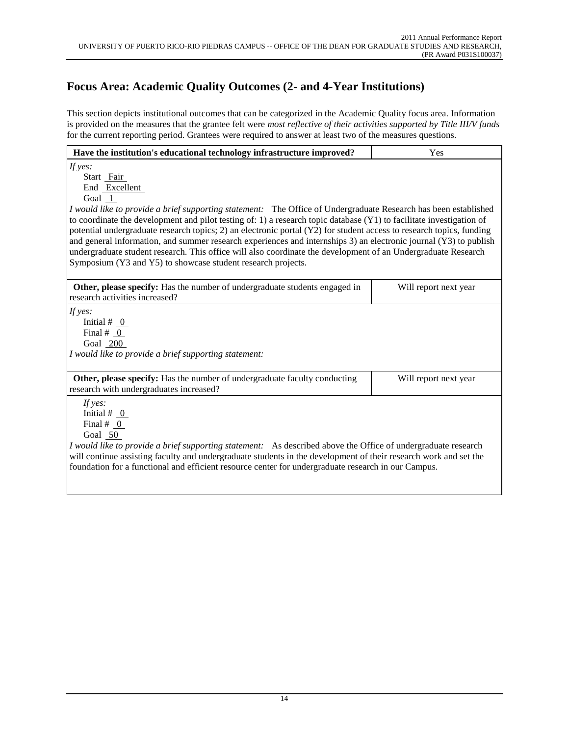# **Focus Area: Academic Quality Outcomes (2- and 4-Year Institutions)**

This section depicts institutional outcomes that can be categorized in the Academic Quality focus area. Information is provided on the measures that the grantee felt were *most reflective of their activities supported by Title III/V funds* for the current reporting period. Grantees were required to answer at least two of the measures questions.

| Have the institution's educational technology infrastructure improved?                                                                                                                                                                                                                                                                                                                                                                                                                                                                                                                                                                                                                                                        | Yes                   |
|-------------------------------------------------------------------------------------------------------------------------------------------------------------------------------------------------------------------------------------------------------------------------------------------------------------------------------------------------------------------------------------------------------------------------------------------------------------------------------------------------------------------------------------------------------------------------------------------------------------------------------------------------------------------------------------------------------------------------------|-----------------------|
| If yes:<br>Start Fair<br>End Excellent<br>Goal $1$<br>I would like to provide a brief supporting statement: The Office of Undergraduate Research has been established<br>to coordinate the development and pilot testing of: 1) a research topic database $(Y1)$ to facilitate investigation of<br>potential undergraduate research topics; 2) an electronic portal (Y2) for student access to research topics, funding<br>and general information, and summer research experiences and internships 3) an electronic journal (Y3) to publish<br>undergraduate student research. This office will also coordinate the development of an Undergraduate Research<br>Symposium (Y3 and Y5) to showcase student research projects. |                       |
| Other, please specify: Has the number of undergraduate students engaged in<br>research activities increased?                                                                                                                                                                                                                                                                                                                                                                                                                                                                                                                                                                                                                  | Will report next year |
| If yes:<br>Initial # $_0$<br>Final $# 0$<br>Goal 200<br>I would like to provide a brief supporting statement:                                                                                                                                                                                                                                                                                                                                                                                                                                                                                                                                                                                                                 |                       |
| Other, please specify: Has the number of undergraduate faculty conducting<br>research with undergraduates increased?                                                                                                                                                                                                                                                                                                                                                                                                                                                                                                                                                                                                          | Will report next year |
| If $yes:$<br>Initial $# 0$<br>Final $# 0$<br>Goal 50<br>I would like to provide a brief supporting statement: As described above the Office of undergraduate research<br>will continue assisting faculty and undergraduate students in the development of their research work and set the<br>foundation for a functional and efficient resource center for undergraduate research in our Campus.                                                                                                                                                                                                                                                                                                                              |                       |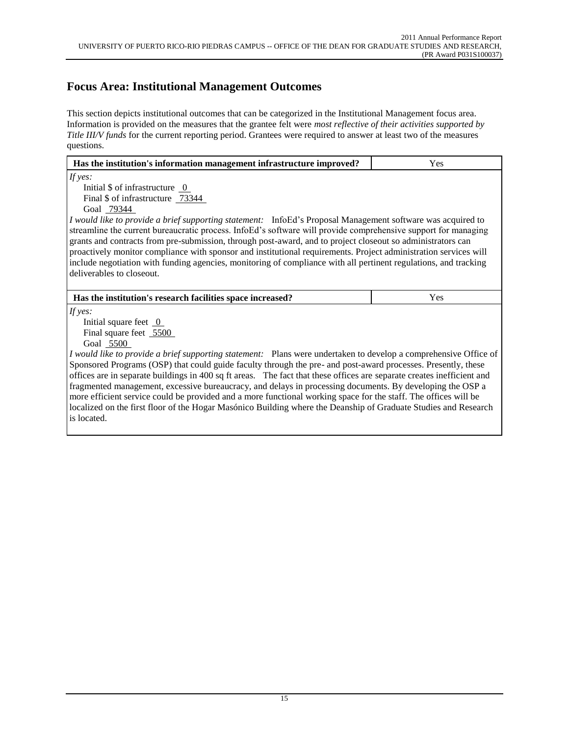## **Focus Area: Institutional Management Outcomes**

This section depicts institutional outcomes that can be categorized in the Institutional Management focus area. Information is provided on the measures that the grantee felt were *most reflective of their activities supported by Title III/V funds* for the current reporting period. Grantees were required to answer at least two of the measures questions.

| Has the institution's information management infrastructure improved?                                                   | Yes |  |  |  |
|-------------------------------------------------------------------------------------------------------------------------|-----|--|--|--|
| If yes:                                                                                                                 |     |  |  |  |
| Initial \$ of infrastructure 0                                                                                          |     |  |  |  |
| Final \$ of infrastructure 73344                                                                                        |     |  |  |  |
| Goal 79344                                                                                                              |     |  |  |  |
| I would like to provide a brief supporting statement: InfoEd's Proposal Management software was acquired to             |     |  |  |  |
| streamline the current bureaucratic process. InfoEd's software will provide comprehensive support for managing          |     |  |  |  |
| grants and contracts from pre-submission, through post-award, and to project closeout so administrators can             |     |  |  |  |
| proactively monitor compliance with sponsor and institutional requirements. Project administration services will        |     |  |  |  |
| include negotiation with funding agencies, monitoring of compliance with all pertinent regulations, and tracking        |     |  |  |  |
| deliverables to closeout.                                                                                               |     |  |  |  |
|                                                                                                                         |     |  |  |  |
| Has the institution's research facilities space increased?                                                              | Yes |  |  |  |
| If yes:                                                                                                                 |     |  |  |  |
| Initial square feet $\overline{0}$                                                                                      |     |  |  |  |
| Final square feet 5500                                                                                                  |     |  |  |  |
| Goal 5500                                                                                                               |     |  |  |  |
| <i>I would like to provide a brief supporting statement:</i> Plans were undertaken to develop a comprehensive Office of |     |  |  |  |
| Sponsored Programs (OSP) that could guide faculty through the pre- and post-award processes. Presently, these           |     |  |  |  |
| offices are in separate buildings in 400 sq ft areas. The fact that these offices are separate creates inefficient and  |     |  |  |  |
| fragmented management, excessive bureaucracy, and delays in processing documents. By developing the OSP a               |     |  |  |  |
| more efficient service could be provided and a more functional working space for the staff. The offices will be         |     |  |  |  |
| localized on the first floor of the Hogar Masónico Building where the Deanship of Graduate Studies and Research         |     |  |  |  |
| is located.                                                                                                             |     |  |  |  |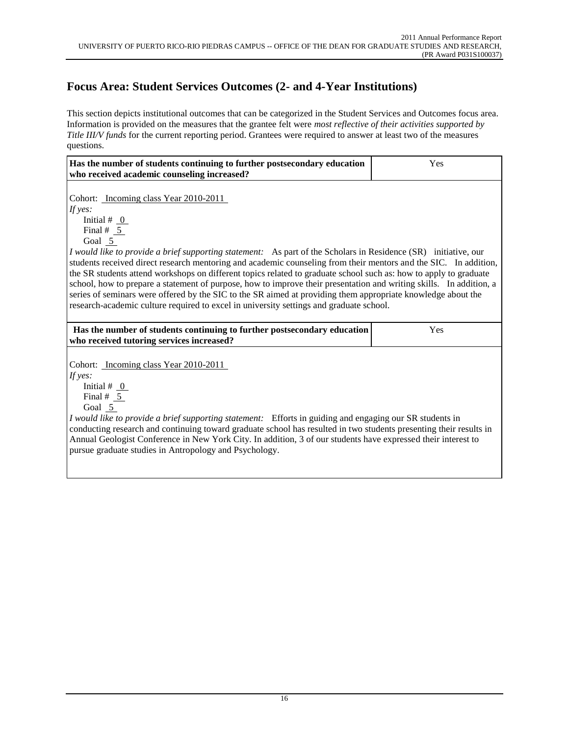# **Focus Area: Student Services Outcomes (2- and 4-Year Institutions)**

This section depicts institutional outcomes that can be categorized in the Student Services and Outcomes focus area. Information is provided on the measures that the grantee felt were *most reflective of their activities supported by Title III/V funds* for the current reporting period. Grantees were required to answer at least two of the measures questions.

| Has the number of students continuing to further postsecondary education<br>who received academic counseling increased?                                                                                                                                                                                                                                                                                                                                                                                                                                                                                                                                                                                                                                                                          | Yes |
|--------------------------------------------------------------------------------------------------------------------------------------------------------------------------------------------------------------------------------------------------------------------------------------------------------------------------------------------------------------------------------------------------------------------------------------------------------------------------------------------------------------------------------------------------------------------------------------------------------------------------------------------------------------------------------------------------------------------------------------------------------------------------------------------------|-----|
| Cohort: Incoming class Year 2010-2011<br>If yes:<br>Initial # $_0$<br>Final # $5$<br>Goal 5<br><i>I would like to provide a brief supporting statement:</i> As part of the Scholars in Residence (SR) initiative, our<br>students received direct research mentoring and academic counseling from their mentors and the SIC. In addition,<br>the SR students attend workshops on different topics related to graduate school such as: how to apply to graduate<br>school, how to prepare a statement of purpose, how to improve their presentation and writing skills. In addition, a<br>series of seminars were offered by the SIC to the SR aimed at providing them appropriate knowledge about the<br>research-academic culture required to excel in university settings and graduate school. |     |
| Has the number of students continuing to further postsecondary education<br>who received tutoring services increased?                                                                                                                                                                                                                                                                                                                                                                                                                                                                                                                                                                                                                                                                            | Yes |
| Cohort: Incoming class Year 2010-2011<br>If yes:<br>Initial # $_0$<br>Final # $5$<br>Goal 5<br>I would like to provide a brief supporting statement: Efforts in guiding and engaging our SR students in<br>conducting research and continuing toward graduate school has resulted in two students presenting their results in<br>Annual Geologist Conference in New York City. In addition, 3 of our students have expressed their interest to<br>pursue graduate studies in Antropology and Psychology.                                                                                                                                                                                                                                                                                         |     |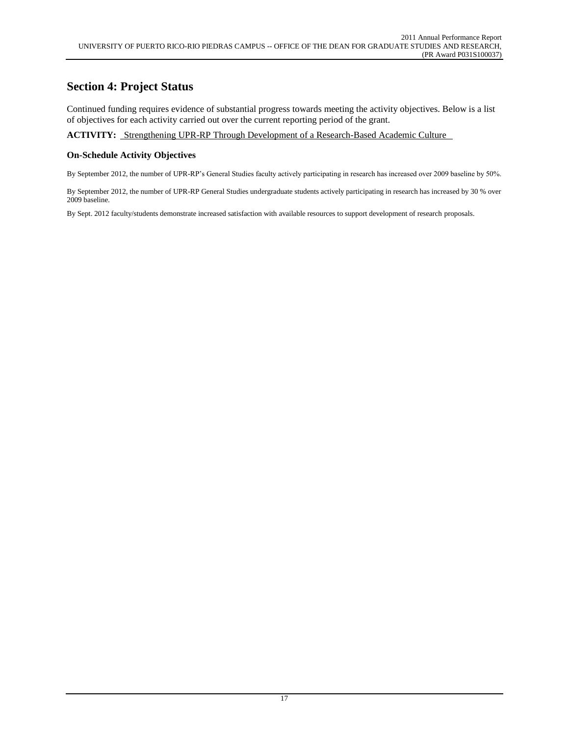### **Section 4: Project Status**

Continued funding requires evidence of substantial progress towards meeting the activity objectives. Below is a list of objectives for each activity carried out over the current reporting period of the grant.

**ACTIVITY:** Strengthening UPR-RP Through Development of a Research-Based Academic Culture

### **On-Schedule Activity Objectives**

By September 2012, the number of UPR-RP's General Studies faculty actively participating in research has increased over 2009 baseline by 50%.

By September 2012, the number of UPR-RP General Studies undergraduate students actively participating in research has increased by 30 % over 2009 baseline.

By Sept. 2012 faculty/students demonstrate increased satisfaction with available resources to support development of research proposals.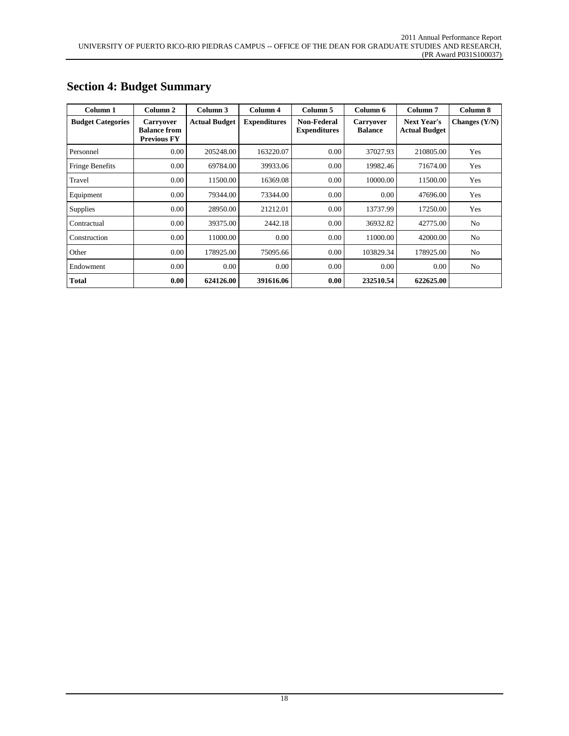| Column 1                 | Column 2                                                      | Column 3             | Column 4            | Column 5                                  | Column 6                           | Column <sub>7</sub>                        | Column 8        |
|--------------------------|---------------------------------------------------------------|----------------------|---------------------|-------------------------------------------|------------------------------------|--------------------------------------------|-----------------|
| <b>Budget Categories</b> | <b>Carryover</b><br><b>Balance from</b><br><b>Previous FY</b> | <b>Actual Budget</b> | <b>Expenditures</b> | <b>Non-Federal</b><br><b>Expenditures</b> | <b>Carryover</b><br><b>Balance</b> | <b>Next Year's</b><br><b>Actual Budget</b> | Changes $(Y/N)$ |
| Personnel                | 0.00                                                          | 205248.00            | 163220.07           | 0.00                                      | 37027.93                           | 210805.00                                  | Yes             |
| Fringe Benefits          | 0.00                                                          | 69784.00             | 39933.06            | 0.00                                      | 19982.46                           | 71674.00                                   | Yes             |
| Travel                   | 0.00                                                          | 11500.00             | 16369.08            | 0.00                                      | 10000.00                           | 11500.00                                   | Yes             |
| Equipment                | 0.00                                                          | 79344.00             | 73344.00            | 0.00                                      | 0.00                               | 47696.00                                   | Yes             |
| <b>Supplies</b>          | 0.00                                                          | 28950.00             | 21212.01            | 0.00                                      | 13737.99                           | 17250.00                                   | Yes             |
| Contractual              | 0.00                                                          | 39375.00             | 2442.18             | 0.00                                      | 36932.82                           | 42775.00                                   | N <sub>o</sub>  |
| Construction             | 0.00                                                          | 11000.00             | 0.00                | 0.00                                      | 11000.00                           | 42000.00                                   | N <sub>o</sub>  |
| Other                    | 0.00                                                          | 178925.00            | 75095.66            | 0.00                                      | 103829.34                          | 178925.00                                  | N <sub>o</sub>  |
| Endowment                | 0.00                                                          | 0.00                 | 0.00                | 0.00                                      | 0.00                               | 0.00                                       | No.             |
| Total                    | 0.00                                                          | 624126.00            | 391616.06           | 0.00                                      | 232510.54                          | 622625.00                                  |                 |

## **Section 4: Budget Summary**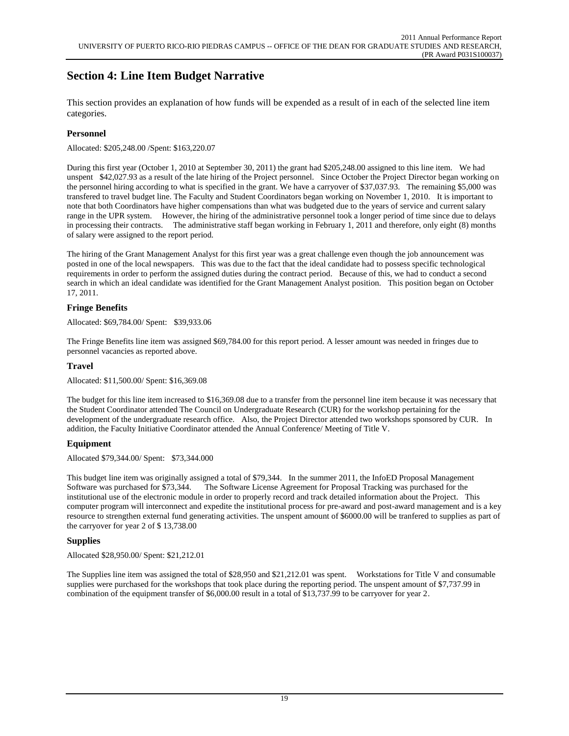# **Section 4: Line Item Budget Narrative**

This section provides an explanation of how funds will be expended as a result of in each of the selected line item categories.

### **Personnel**

Allocated: \$205,248.00 /Spent: \$163,220.07

During this first year (October 1, 2010 at September 30, 2011) the grant had \$205,248.00 assigned to this line item. We had unspent \$42,027.93 as a result of the late hiring of the Project personnel. Since October the Project Director began working on the personnel hiring according to what is specified in the grant. We have a carryover of \$37,037.93. The remaining \$5,000 was transfered to travel budget line. The Faculty and Student Coordinators began working on November 1, 2010. It is important to note that both Coordinators have higher compensations than what was budgeted due to the years of service and current salary range in the UPR system. However, the hiring of the administrative personnel took a longer period of time since due to delays in processing their contracts. The administrative staff began working in February 1, 2011 and therefore, only eight (8) months of salary were assigned to the report period.

The hiring of the Grant Management Analyst for this first year was a great challenge even though the job announcement was posted in one of the local newspapers. This was due to the fact that the ideal candidate had to possess specific technological requirements in order to perform the assigned duties during the contract period. Because of this, we had to conduct a second search in which an ideal candidate was identified for the Grant Management Analyst position. This position began on October 17, 2011.

### **Fringe Benefits**

Allocated: \$69,784.00/ Spent: \$39,933.06

The Fringe Benefits line item was assigned \$69,784.00 for this report period. A lesser amount was needed in fringes due to personnel vacancies as reported above.

#### **Travel**

Allocated: \$11,500.00/ Spent: \$16,369.08

The budget for this line item increased to \$16,369.08 due to a transfer from the personnel line item because it was necessary that the Student Coordinator attended The Council on Undergraduate Research (CUR) for the workshop pertaining for the development of the undergraduate research office. Also, the Project Director attended two workshops sponsored by CUR. In addition, the Faculty Initiative Coordinator attended the Annual Conference/ Meeting of Title V.

#### **Equipment**

Allocated \$79,344.00/ Spent: \$73,344.000

This budget line item was originally assigned a total of \$79,344. In the summer 2011, the InfoED Proposal Management Software was purchased for \$73,344. The Software License Agreement for Proposal Tracking was purchased for the institutional use of the electronic module in order to properly record and track detailed information about the Project. This computer program will interconnect and expedite the institutional process for pre-award and post-award management and is a key resource to strengthen external fund generating activities. The unspent amount of \$6000.00 will be tranfered to supplies as part of the carryover for year 2 of \$ 13,738.00

### **Supplies**

Allocated \$28,950.00/ Spent: \$21,212.01

The Supplies line item was assigned the total of \$28,950 and \$21,212.01 was spent. Workstations for Title V and consumable supplies were purchased for the workshops that took place during the reporting period. The unspent amount of \$7,737.99 in combination of the equipment transfer of \$6,000.00 result in a total of \$13,737.99 to be carryover for year 2.